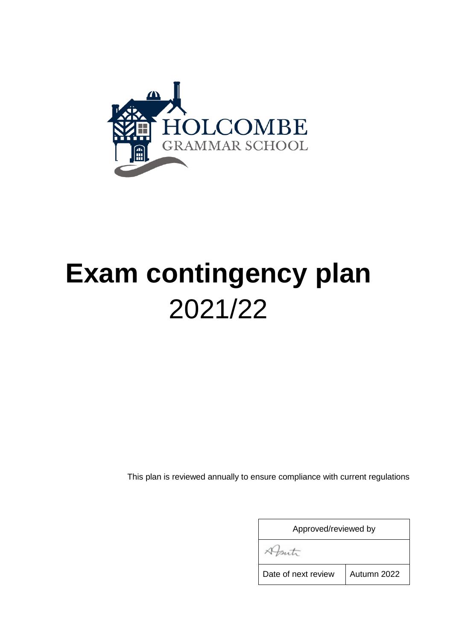

# **Exam contingency plan** 2021/22

This plan is reviewed annually to ensure compliance with current regulations

| Approved/reviewed by |             |
|----------------------|-------------|
|                      |             |
| Date of next review  | Autumn 2022 |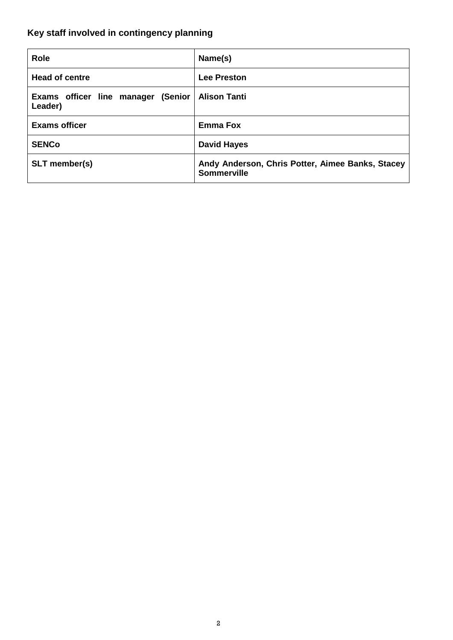# <span id="page-1-0"></span>**Key staff involved in contingency planning**

| <b>Role</b>                                   | Name(s)                                                                |
|-----------------------------------------------|------------------------------------------------------------------------|
| <b>Head of centre</b>                         | <b>Lee Preston</b>                                                     |
| Exams officer line manager (Senior<br>Leader) | <b>Alison Tanti</b>                                                    |
| <b>Exams officer</b>                          | <b>Emma Fox</b>                                                        |
| <b>SENCo</b>                                  | <b>David Hayes</b>                                                     |
| <b>SLT</b> member(s)                          | Andy Anderson, Chris Potter, Aimee Banks, Stacey<br><b>Sommerville</b> |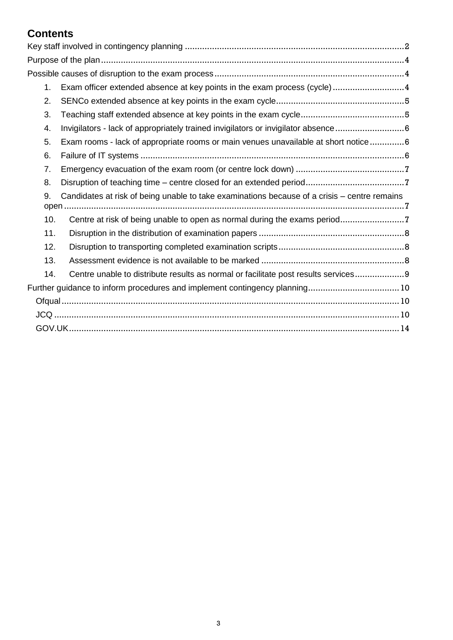## **Contents**

| 1.  | Exam officer extended absence at key points in the exam process (cycle) 4                    |
|-----|----------------------------------------------------------------------------------------------|
| 2.  |                                                                                              |
| 3.  |                                                                                              |
| 4.  | Invigilators - lack of appropriately trained invigilators or invigilator absence6            |
| 5.  | Exam rooms - lack of appropriate rooms or main venues unavailable at short notice6           |
| 6.  |                                                                                              |
| 7.  |                                                                                              |
| 8.  |                                                                                              |
| 9.  | Candidates at risk of being unable to take examinations because of a crisis – centre remains |
| 10. |                                                                                              |
| 11. |                                                                                              |
| 12. |                                                                                              |
| 13. |                                                                                              |
| 14. | Centre unable to distribute results as normal or facilitate post results services9           |
|     |                                                                                              |
|     |                                                                                              |
|     |                                                                                              |
|     |                                                                                              |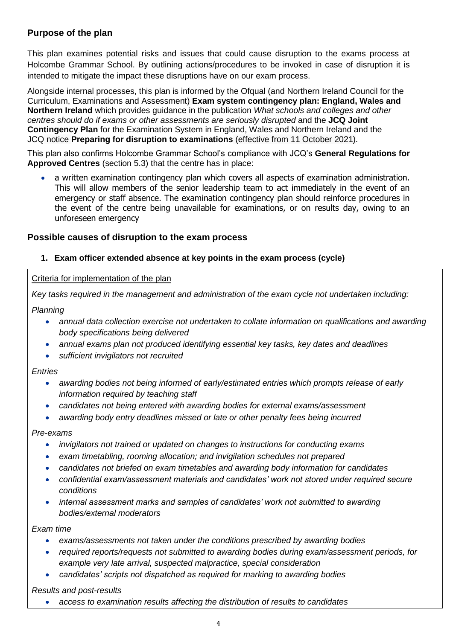## <span id="page-3-0"></span>**Purpose of the plan**

This plan examines potential risks and issues that could cause disruption to the exams process at Holcombe Grammar School. By outlining actions/procedures to be invoked in case of disruption it is intended to mitigate the impact these disruptions have on our exam process.

Alongside internal processes, this plan is informed by the Ofqual (and Northern Ireland Council for the Curriculum, Examinations and Assessment) **Exam system contingency plan: England, Wales and Northern Ireland** which provides guidance in the publication *What schools and colleges and other centres should do if exams or other assessments are seriously disrupted* and the **JCQ Joint Contingency Plan** for the Examination System in England, Wales and Northern Ireland and the JCQ notice **Preparing for disruption to examinations** (effective from 11 October 2021)*.*

This plan also confirms Holcombe Grammar School's compliance with JCQ's **General Regulations for Approved Centres** (section 5.3) that the centre has in place:

a written examination contingency plan which covers all aspects of examination administration. This will allow members of the senior leadership team to act immediately in the event of an emergency or staff absence. The examination contingency plan should reinforce procedures in the event of the centre being unavailable for examinations, or on results day, owing to an unforeseen emergency

## <span id="page-3-1"></span>**Possible causes of disruption to the exam process**

## <span id="page-3-2"></span>**1. Exam officer extended absence at key points in the exam process (cycle)**

## Criteria for implementation of the plan

*Key tasks required in the management and administration of the exam cycle not undertaken including:*

*Planning*

- *annual data collection exercise not undertaken to collate information on qualifications and awarding body specifications being delivered*
- *annual exams plan not produced identifying essential key tasks, key dates and deadlines*
- *sufficient invigilators not recruited*

*Entries*

- *awarding bodies not being informed of early/estimated entries which prompts release of early information required by teaching staff*
- *candidates not being entered with awarding bodies for external exams/assessment*
- *awarding body entry deadlines missed or late or other penalty fees being incurred*

*Pre-exams*

- *invigilators not trained or updated on changes to instructions for conducting exams*
- *exam timetabling, rooming allocation; and invigilation schedules not prepared*
- *candidates not briefed on exam timetables and awarding body information for candidates*
- *confidential exam/assessment materials and candidates' work not stored under required secure conditions*
- *internal assessment marks and samples of candidates' work not submitted to awarding bodies/external moderators*

*Exam time*

- *exams/assessments not taken under the conditions prescribed by awarding bodies*
- *required reports/requests not submitted to awarding bodies during exam/assessment periods, for example very late arrival, suspected malpractice, special consideration*
- *candidates' scripts not dispatched as required for marking to awarding bodies*

*Results and post-results*

• *access to examination results affecting the distribution of results to candidates*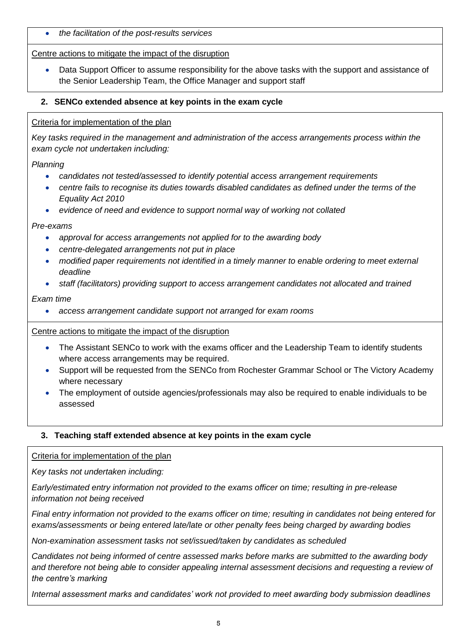• *the facilitation of the post-results services*

## Centre actions to mitigate the impact of the disruption

• Data Support Officer to assume responsibility for the above tasks with the support and assistance of the Senior Leadership Team, the Office Manager and support staff

## <span id="page-4-0"></span>**2. SENCo extended absence at key points in the exam cycle**

## Criteria for implementation of the plan

*Key tasks required in the management and administration of the access arrangements process within the exam cycle not undertaken including:*

*Planning*

- *candidates not tested/assessed to identify potential access arrangement requirements*
- *centre fails to recognise its duties towards disabled candidates as defined under the terms of the Equality Act 2010*
- *evidence of need and evidence to support normal way of working not collated*

## *Pre-exams*

- *approval for access arrangements not applied for to the awarding body*
- *centre-delegated arrangements not put in place*
- *modified paper requirements not identified in a timely manner to enable ordering to meet external deadline*
- *staff (facilitators) providing support to access arrangement candidates not allocated and trained*

## *Exam time*

• *access arrangement candidate support not arranged for exam rooms*

## Centre actions to mitigate the impact of the disruption

- The Assistant SENCo to work with the exams officer and the Leadership Team to identify students where access arrangements may be required.
- Support will be requested from the SENCo from Rochester Grammar School or The Victory Academy where necessary
- The employment of outside agencies/professionals may also be required to enable individuals to be assessed

## <span id="page-4-1"></span>**3. Teaching staff extended absence at key points in the exam cycle**

## Criteria for implementation of the plan

*Key tasks not undertaken including:*

*Early/estimated entry information not provided to the exams officer on time; resulting in pre-release information not being received*

*Final entry information not provided to the exams officer on time; resulting in candidates not being entered for exams/assessments or being entered late/late or other penalty fees being charged by awarding bodies*

*Non-examination assessment tasks not set/issued/taken by candidates as scheduled*

*Candidates not being informed of centre assessed marks before marks are submitted to the awarding body and therefore not being able to consider appealing internal assessment decisions and requesting a review of the centre's marking*

*Internal assessment marks and candidates' work not provided to meet awarding body submission deadlines*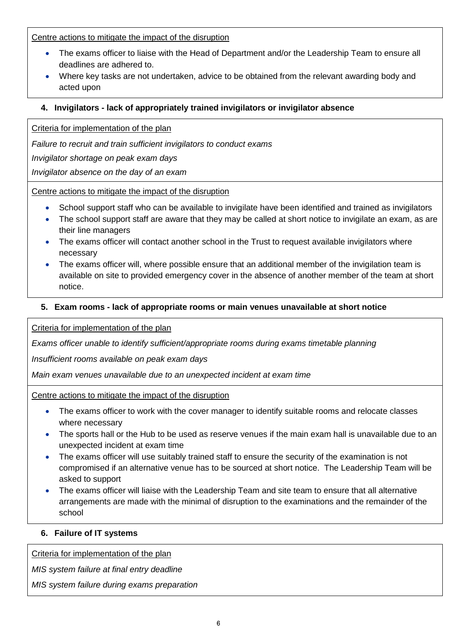Centre actions to mitigate the impact of the disruption

- The exams officer to liaise with the Head of Department and/or the Leadership Team to ensure all deadlines are adhered to.
- Where key tasks are not undertaken, advice to be obtained from the relevant awarding body and acted upon

## <span id="page-5-0"></span>**4. Invigilators - lack of appropriately trained invigilators or invigilator absence**

Criteria for implementation of the plan

*Failure to recruit and train sufficient invigilators to conduct exams*

*Invigilator shortage on peak exam days*

*Invigilator absence on the day of an exam*

Centre actions to mitigate the impact of the disruption

- School support staff who can be available to invigilate have been identified and trained as invigilators
- The school support staff are aware that they may be called at short notice to invigilate an exam, as are their line managers
- The exams officer will contact another school in the Trust to request available invigilators where necessary
- The exams officer will, where possible ensure that an additional member of the invigilation team is available on site to provided emergency cover in the absence of another member of the team at short notice.

## <span id="page-5-1"></span>**5. Exam rooms - lack of appropriate rooms or main venues unavailable at short notice**

Criteria for implementation of the plan

*Exams officer unable to identify sufficient/appropriate rooms during exams timetable planning*

*Insufficient rooms available on peak exam days*

*Main exam venues unavailable due to an unexpected incident at exam time*

Centre actions to mitigate the impact of the disruption

- The exams officer to work with the cover manager to identify suitable rooms and relocate classes where necessary
- The sports hall or the Hub to be used as reserve venues if the main exam hall is unavailable due to an unexpected incident at exam time
- The exams officer will use suitably trained staff to ensure the security of the examination is not compromised if an alternative venue has to be sourced at short notice. The Leadership Team will be asked to support
- The exams officer will liaise with the Leadership Team and site team to ensure that all alternative arrangements are made with the minimal of disruption to the examinations and the remainder of the school

## <span id="page-5-2"></span>**6. Failure of IT systems**

Criteria for implementation of the plan

*MIS system failure at final entry deadline*

*MIS system failure during exams preparation*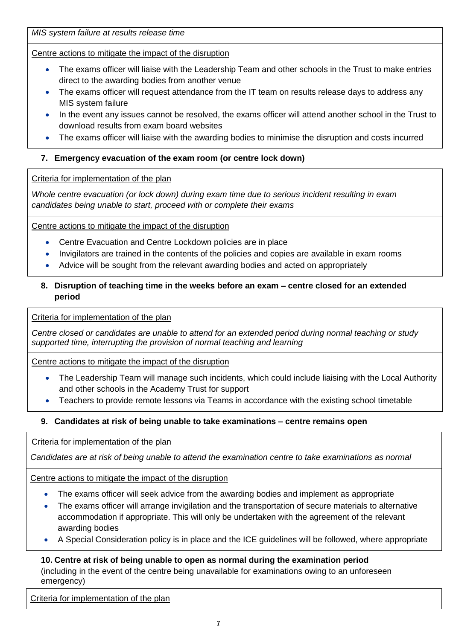*MIS system failure at results release time*

Centre actions to mitigate the impact of the disruption

- The exams officer will liaise with the Leadership Team and other schools in the Trust to make entries direct to the awarding bodies from another venue
- The exams officer will request attendance from the IT team on results release days to address any MIS system failure
- In the event any issues cannot be resolved, the exams officer will attend another school in the Trust to download results from exam board websites
- The exams officer will liaise with the awarding bodies to minimise the disruption and costs incurred

## <span id="page-6-0"></span>**7. Emergency evacuation of the exam room (or centre lock down)**

Criteria for implementation of the plan

*Whole centre evacuation (or lock down) during exam time due to serious incident resulting in exam candidates being unable to start, proceed with or complete their exams*

Centre actions to mitigate the impact of the disruption

- Centre Evacuation and Centre Lockdown policies are in place
- Invigilators are trained in the contents of the policies and copies are available in exam rooms
- Advice will be sought from the relevant awarding bodies and acted on appropriately

## <span id="page-6-1"></span>**8. Disruption of teaching time in the weeks before an exam – centre closed for an extended period**

Criteria for implementation of the plan

*Centre closed or candidates are unable to attend for an extended period during normal teaching or study supported time, interrupting the provision of normal teaching and learning*

Centre actions to mitigate the impact of the disruption

- The Leadership Team will manage such incidents, which could include liaising with the Local Authority and other schools in the Academy Trust for support
- Teachers to provide remote lessons via Teams in accordance with the existing school timetable

## <span id="page-6-2"></span>**9. Candidates at risk of being unable to take examinations – centre remains open**

Criteria for implementation of the plan

*Candidates are at risk of being unable to attend the examination centre to take examinations as normal*

Centre actions to mitigate the impact of the disruption

- The exams officer will seek advice from the awarding bodies and implement as appropriate
- The exams officer will arrange invigilation and the transportation of secure materials to alternative accommodation if appropriate. This will only be undertaken with the agreement of the relevant awarding bodies
- A Special Consideration policy is in place and the ICE guidelines will be followed, where appropriate

## <span id="page-6-3"></span>**10. Centre at risk of being unable to open as normal during the examination period**  (including in the event of the centre being unavailable for examinations owing to an unforeseen emergency)

Criteria for implementation of the plan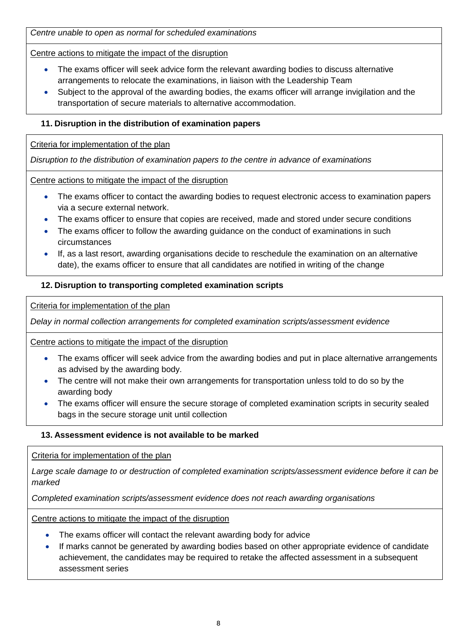*Centre unable to open as normal for scheduled examinations* 

Centre actions to mitigate the impact of the disruption

- The exams officer will seek advice form the relevant awarding bodies to discuss alternative arrangements to relocate the examinations, in liaison with the Leadership Team
- Subject to the approval of the awarding bodies, the exams officer will arrange invigilation and the transportation of secure materials to alternative accommodation.

## <span id="page-7-0"></span>**11. Disruption in the distribution of examination papers**

Criteria for implementation of the plan

*Disruption to the distribution of examination papers to the centre in advance of examinations*

Centre actions to mitigate the impact of the disruption

- The exams officer to contact the awarding bodies to request electronic access to examination papers via a secure external network.
- The exams officer to ensure that copies are received, made and stored under secure conditions
- The exams officer to follow the awarding quidance on the conduct of examinations in such circumstances
- If, as a last resort, awarding organisations decide to reschedule the examination on an alternative date), the exams officer to ensure that all candidates are notified in writing of the change

## <span id="page-7-1"></span>**12. Disruption to transporting completed examination scripts**

Criteria for implementation of the plan

*Delay in normal collection arrangements for completed examination scripts/assessment evidence*

Centre actions to mitigate the impact of the disruption

- The exams officer will seek advice from the awarding bodies and put in place alternative arrangements as advised by the awarding body.
- The centre will not make their own arrangements for transportation unless told to do so by the awarding body
- The exams officer will ensure the secure storage of completed examination scripts in security sealed bags in the secure storage unit until collection

## <span id="page-7-2"></span>**13. Assessment evidence is not available to be marked**

Criteria for implementation of the plan

*Large scale damage to or destruction of completed examination scripts/assessment evidence before it can be marked*

*Completed examination scripts/assessment evidence does not reach awarding organisations*

Centre actions to mitigate the impact of the disruption

- The exams officer will contact the relevant awarding body for advice
- <span id="page-7-3"></span>• If marks cannot be generated by awarding bodies based on other appropriate evidence of candidate achievement, the candidates may be required to retake the affected assessment in a subsequent assessment series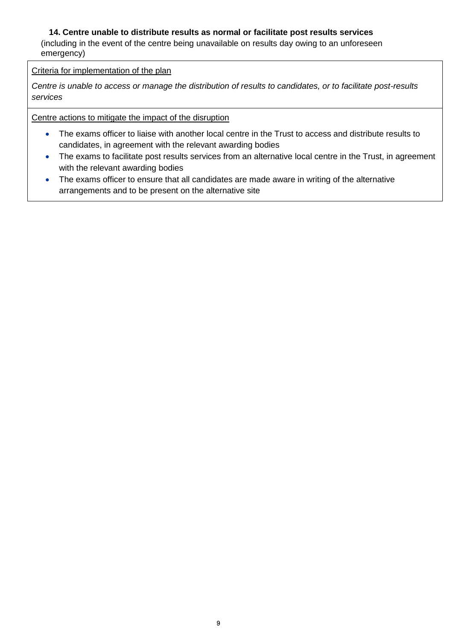## **14. Centre unable to distribute results as normal or facilitate post results services**

(including in the event of the centre being unavailable on results day owing to an unforeseen emergency)

## Criteria for implementation of the plan

*Centre is unable to access or manage the distribution of results to candidates, or to facilitate post-results services*

Centre actions to mitigate the impact of the disruption

- The exams officer to liaise with another local centre in the Trust to access and distribute results to candidates, in agreement with the relevant awarding bodies
- The exams to facilitate post results services from an alternative local centre in the Trust, in agreement with the relevant awarding bodies
- The exams officer to ensure that all candidates are made aware in writing of the alternative arrangements and to be present on the alternative site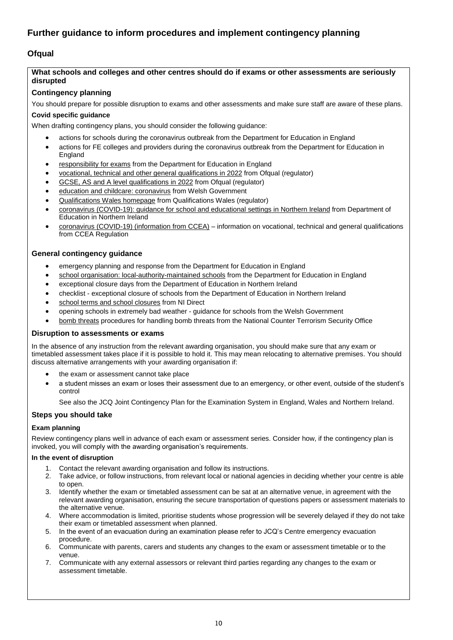## <span id="page-9-0"></span>**Further guidance to inform procedures and implement contingency planning**

## <span id="page-9-1"></span>**Ofqual**

#### <span id="page-9-2"></span>**What schools and colleges and other centres should do if exams or other assessments are seriously disrupted**

#### **Contingency planning**

You should prepare for possible disruption to exams and other assessments and make sure staff are aware of these plans.

#### **Covid specific guidance**

When drafting contingency plans, you should consider the following guidance:

- actions for schools during the [coronavirus](https://www.gov.uk/government/publications/actions-for-schools-during-the-coronavirus-outbreak) outbreak from the Department for Education in England
- actions for FE colleges and providers during the [coronavirus](https://www.gov.uk/government/publications/coronavirus-covid-19-maintaining-further-education-provision) outbreak from the Department for Education in England
- [responsibility](https://www.gov.uk/government/publications/responsibility-for-autumn-gcse-as-and-a-level-exam-series) for exams from the Department for Education in England
- vocational, technical and other general [qualifications](https://www.gov.uk/government/collections/vocational-technical-and-other-general-qualifications-in-2022) in 2022 from Ofqual (regulator)
- GCSE, AS and A level [qualifications](https://www.gov.uk/government/collections/gcse-as-and-a-level-qualifications-in-2022) in 2022 from Ofqual (regulator)
- education and childcare: [coronavirus](https://gov.wales/education-coronavirus) from Welsh Government
- [Qualifications](https://www.qualificationswales.org/english/) Wales homepage from Qualifications Wales (regulator)
- coronavirus [\(COVID-19\):](https://www.education-ni.gov.uk/publications/coronavirus-covid-19-guidance-school-and-educational-settings-northern-ireland) guidance for school and educational settings in Northern Ireland from Department of Education in Northern Ireland
- coronavirus (COVID-19) [\(information](https://ccea.org.uk/regulation/coronavirus) from CCEA) information on vocational, technical and general qualifications from CCEA Regulation

#### **General contingency guidance**

- [emergency](https://www.gov.uk/guidance/emergencies-and-severe-weather-schools-and-early-years-settings) planning and response from the Department for Education in England
- school organisation: [local-authority-maintained](https://www.gov.uk/government/publications/school-organisation-maintained-schools) schools from the Department for Education in England
- [exceptional](https://www.education-ni.gov.uk/articles/exceptional-closure-days) closure days from the Department of Education in Northern Ireland
- checklist [exceptional](https://www.education-ni.gov.uk/publications/checklist-exceptional-closure-schools) closure of schools from the Department of Education in Northern Ireland
- school terms and school [closures](https://www.nidirect.gov.uk/articles/school-terms-and-school-closures) from NI Direct
- opening schools in [extremely](https://gov.wales/opening-schools-extremely-bad-weather-guidance-schools) bad weather guidance for schools from the Welsh Government
- bomb [threats](https://www.gov.uk/government/publications/crowded-places-guidance/bomb-threats) procedures for handling bomb threats from the National Counter Terrorism Security Office

#### **Disruption to assessments or exams**

In the absence of any instruction from the relevant awarding organisation, you should make sure that any exam or timetabled assessment takes place if it is possible to hold it. This may mean relocating to alternative premises. You should discuss alternative arrangements with your awarding organisation if:

- the exam or assessment cannot take place
- a student misses an exam or loses their assessment due to an emergency, or other event, outside of the student's control

See also the JCQ Joint [Contingency](https://www.jcq.org.uk/exams-office/other-documents/jcq-joint-contingency-plan/) Plan for the Examination System in England, Wales and Northern Ireland.

#### **Steps you should take**

#### **Exam planning**

Review contingency plans well in advance of each exam or assessment series. Consider how, if the contingency plan is invoked, you will comply with the awarding organisation's requirements.

#### **In the event of disruption**

- 1. Contact the relevant awarding organisation and follow its instructions.
- 2. Take advice, or follow instructions, from relevant local or national agencies in deciding whether your centre is able to open.
- 3. Identify whether the exam or timetabled assessment can be sat at an alternative venue, in agreement with the relevant awarding organisation, ensuring the secure transportation of questions papers or assessment materials to the alternative venue.
- 4. Where accommodation is limited, prioritise students whose progression will be severely delayed if they do not take their exam or timetabled assessment when planned.
- 5. In the event of an evacuation during an examination please refer to JCQ's Centre [emergency](https://www.jcq.org.uk/exams-office/ice---instructions-for-conducting-examinations/centre-emergency-evacuation-procedure) evacuation [procedure.](https://www.jcq.org.uk/exams-office/ice---instructions-for-conducting-examinations/centre-emergency-evacuation-procedure)
- 6. Communicate with parents, carers and students any changes to the exam or assessment timetable or to the venue.
- 7. Communicate with any external assessors or relevant third parties regarding any changes to the exam or assessment timetable.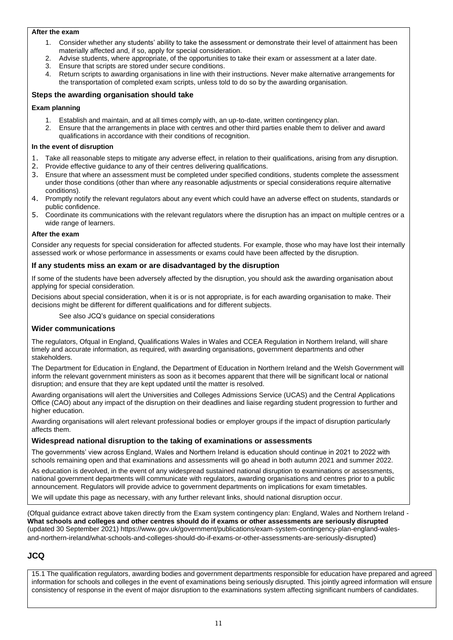#### **After the exam**

- 1. Consider whether any students' ability to take the assessment or demonstrate their level of attainment has been materially affected and, if so, apply for special consideration.
- 2. Advise students, where appropriate, of the opportunities to take their exam or assessment at a later date.
- 3. Ensure that scripts are stored under secure conditions.
- 4. Return scripts to awarding organisations in line with their instructions. Never make alternative arrangements for the transportation of completed exam scripts, unless told to do so by the awarding organisation.

#### **Steps the awarding organisation should take**

#### **Exam planning**

- 1. Establish and maintain, and at all times comply with, an up-to-date, written contingency plan.
- 2. Ensure that the arrangements in place with centres and other third parties enable them to deliver and award qualifications in accordance with their conditions of recognition.

#### **In the event of disruption**

- 1. Take all reasonable steps to mitigate any adverse effect, in relation to their qualifications, arising from any disruption.
- 2. Provide effective guidance to any of their centres delivering qualifications.
- 3. Ensure that where an assessment must be completed under specified conditions, students complete the assessment under those conditions (other than where any reasonable adjustments or special considerations require alternative conditions).
- 4. Promptly notify the relevant regulators about any event which could have an adverse effect on students, standards or public confidence.
- 5. Coordinate its communications with the relevant regulators where the disruption has an impact on multiple centres or a wide range of learners.

#### **After the exam**

Consider any requests for special consideration for affected students. For example, those who may have lost their internally assessed work or whose performance in assessments or exams could have been affected by the disruption.

#### **If any students miss an exam or are disadvantaged by the disruption**

If some of the students have been adversely affected by the disruption, you should ask the awarding organisation about applying for special consideration.

Decisions about special consideration, when it is or is not appropriate, is for each awarding organisation to make. Their decisions might be different for different qualifications and for different subjects.

See also JCQ's guidance on special [considerations](https://www.jcq.org.uk/exams-office/access-arrangements-and-special-consideration/regulations-and-guidance)

#### **Wider communications**

The regulators[, Ofqual](https://www.gov.uk/ofqual) in England, [Qualifications](http://qualificationswales.org/) Wales in Wales and CCEA [Regulation](http://ccea.org.uk/) in Northern Ireland, will share timely and accurate information, as required, with awarding organisations, government departments and other stakeholders.

Th[e Department](https://www.gov.uk/government/organisations/department-for-education) for Education in England, the [Department](https://www.education-ni.gov.uk/) of Education in Northern Ireland and the Welsh [Government](http://gov.wales/topics/educationandskills/?lang=en) will inform the relevant government ministers as soon as it becomes apparent that there will be significant local or national disruption; and ensure that they are kept updated until the matter is resolved.

Awarding organisations will alert th[e Universities](https://www.ucas.com/) and Colleges Admissions Service (UCAS) and the Central [Applications](http://www.cao.ie/) [Office](http://www.cao.ie/) (CAO) about any impact of the disruption on their deadlines and liaise regarding student progression to further and higher education.

Awarding organisations will alert relevant professional bodies or employer groups if the impact of disruption particularly affects them.

#### **Widespread national disruption to the taking of examinations or assessments**

The governments' view across England, Wales and Northern Ireland is education should continue in 2021 to 2022 with schools remaining open and that examinations and assessments will go ahead in both autumn 2021 and summer 2022.

As education is devolved, in the event of any widespread sustained national disruption to examinations or assessments, national government departments will communicate with regulators, awarding organisations and centres prior to a public announcement. Regulators will provide advice to government departments on implications for exam timetables.

We will update this page as necessary, with any further relevant links, should national disruption occur.

(Ofqual guidance extract above taken directly from the Exam system contingency plan: England, Wales and Northern Ireland - **What schools and colleges and other centres should do if exams or other assessments are seriously disrupted** (updated 30 September 2021[\) https://www.gov.uk/government/publications/exam-system-contingency-plan-england-wales](https://www.gov.uk/government/publications/exam-system-contingency-plan-england-wales-and-northern-ireland/what-schools-and-colleges-should-do-if-exams-or-other-assessments-are-seriously-disrupted)[and-northern-ireland/what-schools-and-colleges-should-do-if-exams-or-other-assessments-are-seriously-disrupted](https://www.gov.uk/government/publications/exam-system-contingency-plan-england-wales-and-northern-ireland/what-schools-and-colleges-should-do-if-exams-or-other-assessments-are-seriously-disrupted))

## **JCQ**

15.1 The qualification regulators, awarding bodies and government departments responsible for education have prepared and agreed information for schools and colleges in the event of examinations being seriously disrupted. This jointly agreed information will ensure consistency of response in the event of major disruption to the examinations system affecting significant numbers of candidates.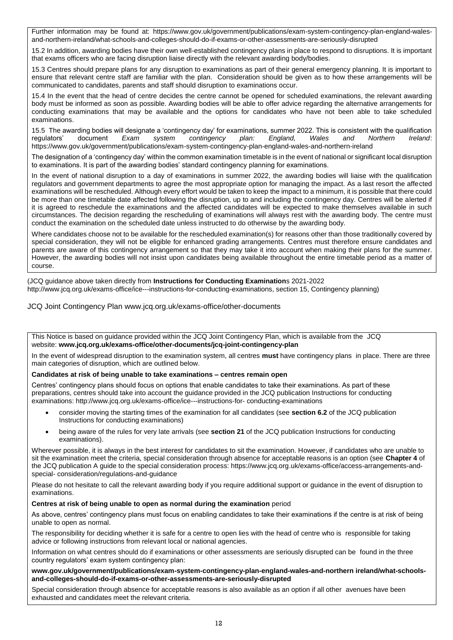Further information may be found at: [https://www.gov.uk/government/publications/exam-system-contingency-plan-england-wales](https://www.gov.uk/government/publications/exam-system-contingency-plan-england-wales-and-northern-ireland/what-schools-and-colleges-should-do-if-exams-or-other-assessments-are-seriously-disrupted)[and-northern-ireland/what-schools-and-colleges-should-do-if-exams-or-other-assessments-are-seriously-disrupted](https://www.gov.uk/government/publications/exam-system-contingency-plan-england-wales-and-northern-ireland/what-schools-and-colleges-should-do-if-exams-or-other-assessments-are-seriously-disrupted)

15.2 In addition, awarding bodies have their own well-established contingency plans in place to respond to disruptions. It is important that exams officers who are facing disruption liaise directly with the relevant awarding body/bodies.

15.3 Centres should prepare plans for any disruption to examinations as part of their general emergency planning. It is important to ensure that relevant centre staff are familiar with the plan. Consideration should be given as to how these arrangements will be communicated to candidates, parents and staff should disruption to examinations occur.

15.4 In the event that the head of centre decides the centre cannot be opened for scheduled examinations, the relevant awarding body must be informed as soon as possible. Awarding bodies will be able to offer advice regarding the alternative arrangements for conducting examinations that may be available and the options for candidates who have not been able to take scheduled examinations.

15.5 The awarding bodies will designate a 'contingency day' for examinations, summer 2022. This is consistent with the qualification regulators' document Exam system contingency plan: England. Wales and Northern Ireland: regulators' document *Exam system contingency plan: England, Wales and Northern Ireland*: <https://www.gov.uk/government/publications/exam-system-contingency-plan-england-wales-and-northern-ireland>

The designation of a 'contingency day' within the common examination timetable is in the event of national or significant local disruption to examinations. It is part of the awarding bodies' standard contingency planning for examinations.

In the event of national disruption to a day of examinations in summer 2022, the awarding bodies will liaise with the qualification regulators and government departments to agree the most appropriate option for managing the impact. As a last resort the affected examinations will be rescheduled. Although every effort would be taken to keep the impact to a minimum, it is possible that there could be more than one timetable date affected following the disruption, up to and including the contingency day. Centres will be alerted if it is agreed to reschedule the examinations and the affected candidates will be expected to make themselves available in such circumstances. The decision regarding the rescheduling of examinations will always rest with the awarding body. The centre must conduct the examination on the scheduled date unless instructed to do otherwise by the awarding body.

Where candidates choose not to be available for the rescheduled examination(s) for reasons other than those traditionally covered by special consideration, they will not be eligible for enhanced grading arrangements. Centres must therefore ensure candidates and parents are aware of this contingency arrangement so that they may take it into account when making their plans for the summer. However, the awarding bodies will not insist upon candidates being available throughout the entire timetable period as a matter of course.

(JCQ guidance above taken directly from **Instructions for Conducting Examination**s 2021-2022 [http://www.jcq.org.uk/exams-office/ice---instructions-for-conducting-examinations,](http://www.jcq.org.uk/exams-office/ice---instructions-for-conducting-examinations) section 15, Contingency planning)

JCQ Joint Contingency Plan [www.jcq.org.uk/exams-office/other-documents](http://www.jcq.org.uk/exams-office/other-documents)

This Notice is based on guidance provided within the JCQ Joint Contingency Plan, which is available from the JCQ website: **[www.jcq.org.uk/exams-office/other-documents/jcq-joint-contingency-plan](https://www.jcq.org.uk/exams-office/other-documents/jcq-joint-contingency-plan)**

In the event of widespread disruption to the examination system, all centres **must** have contingency plans in place. There are three main categories of disruption, which are outlined below.

#### **Candidates at risk of being unable to take examinations – centres remain open**

Centres' contingency plans should focus on options that enable candidates to take their examinations. As part of these preparations, centres should take into account the guidance provided in the JCQ publication Instructions for conducting examinations: http://www.jcq.org.uk/exams-office/ice---instructions-for- conducting-examinations

- consider moving the starting times of the examination for all candidates (see **section 6.2** of the JCQ publication Instructions for conducting examinations)
- being aware of the rules for very late arrivals (see **section 21** of the JCQ publication Instructions for conducting examinations).

Wherever possible, it is always in the best interest for candidates to sit the examination. However, if candidates who are unable to sit the examination meet the criteria, special consideration through absence for acceptable reasons is an option (see **Chapter 4** of the JCQ publication A guide to the special consideration process: https://www.jcq.org.uk/exams-office/access-arrangements-andspecial- consideration/regulations-and-guidance

Please do not hesitate to call the relevant awarding body if you require additional support or guidance in the event of disruption to examinations.

#### **Centres at risk of being unable to open as normal during the examination** period

As above, centres' contingency plans must focus on enabling candidates to take their examinations if the centre is at risk of being unable to open as normal.

The responsibility for deciding whether it is safe for a centre to open lies with the head of centre who is responsible for taking advice or following instructions from relevant local or national agencies.

Information on what centres should do if examinations or other assessments are seriously disrupted can be found in the three country regulators' exam system contingency plan:

#### **[www.gov.uk/government/publications/exam-system-contingency-plan-england-wales-and-northern ireland/what-schools](https://www.gov.uk/government/publications/exam-system-contingency-plan-england-wales-and-northern-ireland/what-schools-and-colleges-should-do-if-exams-or-other-assessments-are-seriously-disrupted)[and-colleges-should-do-if-exams-or-other-assessments-are-seriously-disrupted](https://www.gov.uk/government/publications/exam-system-contingency-plan-england-wales-and-northern-ireland/what-schools-and-colleges-should-do-if-exams-or-other-assessments-are-seriously-disrupted)**

Special consideration through absence for acceptable reasons is also available as an option if all other avenues have been exhausted and candidates meet the relevant criteria.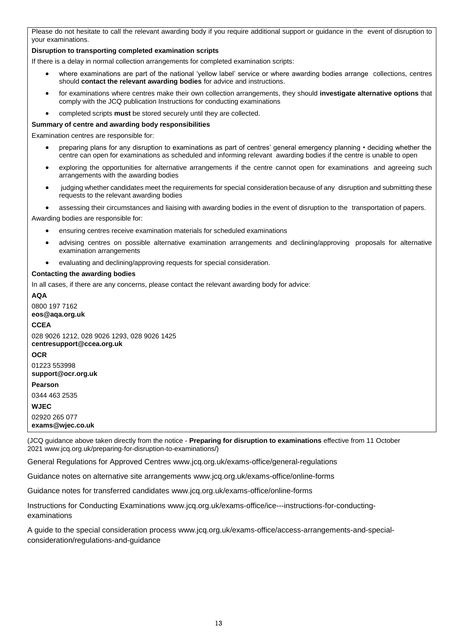Please do not hesitate to call the relevant awarding body if you require additional support or guidance in the event of disruption to your examinations.

#### **Disruption to transporting completed examination scripts**

If there is a delay in normal collection arrangements for completed examination scripts:

- where examinations are part of the national 'yellow label' service or where awarding bodies arrange collections, centres should **contact the relevant awarding bodies** for advice and instructions.
- for examinations where centres make their own collection arrangements, they should **investigate alternative options** that comply with the JCQ publication Instructions for conducting examinations
- completed scripts **must** be stored securely until they are collected.

#### **Summary of centre and awarding body responsibilities**

Examination centres are responsible for:

- preparing plans for any disruption to examinations as part of centres' general emergency planning deciding whether the centre can open for examinations as scheduled and informing relevant awarding bodies if the centre is unable to open
- exploring the opportunities for alternative arrangements if the centre cannot open for examinations and agreeing such arrangements with the awarding bodies
- judging whether candidates meet the requirements for special consideration because of any disruption and submitting these requests to the relevant awarding bodies
- assessing their circumstances and liaising with awarding bodies in the event of disruption to the transportation of papers.

Awarding bodies are responsible for:

- ensuring centres receive examination materials for scheduled examinations
- advising centres on possible alternative examination arrangements and declining/approving proposals for alternative examination arrangements
- evaluating and declining/approving requests for special consideration.

#### **Contacting the awarding bodies**

In all cases, if there are any concerns, please contact the relevant awarding body for advice:

**AQA** 0800 197 7162 **[eos@aqa.org.uk](mailto:eos@aqa.org.uk) CCEA** 028 9026 1212, 028 9026 1293, 028 9026 1425 **[centresupport@ccea.org.uk](mailto:centresupport@ccea.org.uk) OCR** 01223 553998 **[support@ocr.org.uk](mailto:support@ocr.org.uk) Pearson** 0344 463 2535 **WJEC** 02920 265 077 **[exams@wjec.co.uk](mailto:exams@wjec.co.uk)**

(JCQ guidance above taken directly from the notice - **Preparing for disruption to examinations** effective from 11 October 202[1 www.jcq.org.uk/preparing-for-disruption-to-examinations/\)](http://www.jcq.org.uk/preparing-for-disruption-to-examinations/)

General Regulations for Approved Centres [www.jcq.org.uk/exams-office/general-regulations](http://www.jcq.org.uk/exams-office/general-regulations)

Guidance notes on alternative site arrangements [www.jcq.org.uk/exams-office/online-forms](http://www.jcq.org.uk/exams-office/online-forms)

Guidance notes for transferred candidates [www.jcq.org.uk/exams-office/online-forms](http://www.jcq.org.uk/exams-office/online-forms)

Instructions for Conducting Examinations [www.jcq.org.uk/exams-office/ice---instructions-for-conducting](http://www.jcq.org.uk/exams-office/ice---instructions-for-conducting-examinations)[examinations](http://www.jcq.org.uk/exams-office/ice---instructions-for-conducting-examinations) 

A guide to the special consideration process [www.jcq.org.uk/exams-office/access-arrangements-and-special](http://www.jcq.org.uk/exams-office/access-arrangements-and-special-consideration/regulations-and-guidance)[consideration/regulations-and-guidance](http://www.jcq.org.uk/exams-office/access-arrangements-and-special-consideration/regulations-and-guidance)